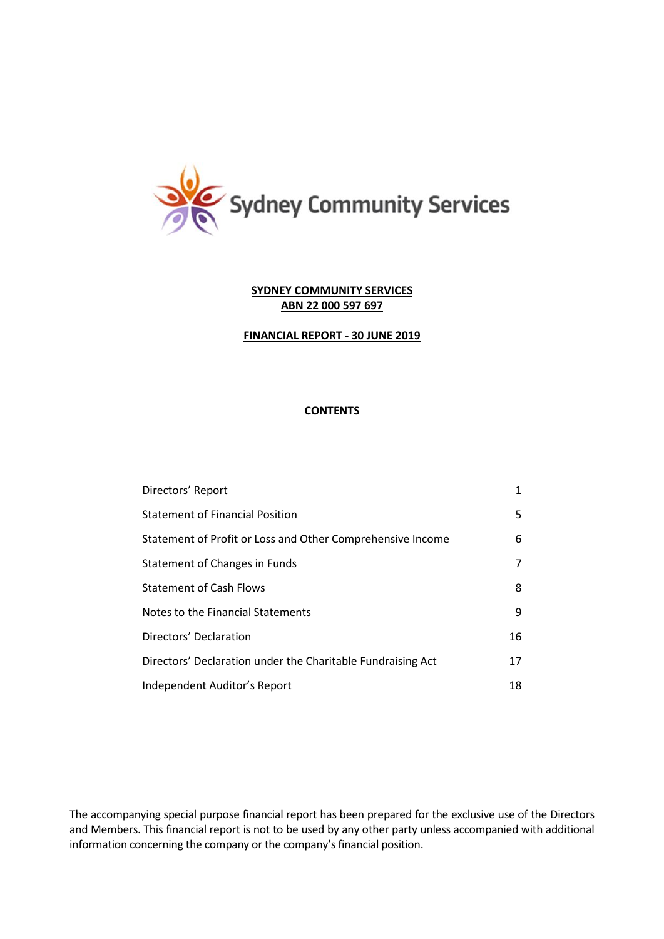

# **FINANCIAL REPORT - 30 JUNE 2019**

# **CONTENTS**

| Directors' Report                                           | 1  |
|-------------------------------------------------------------|----|
| <b>Statement of Financial Position</b>                      | 5. |
| Statement of Profit or Loss and Other Comprehensive Income  | 6  |
| Statement of Changes in Funds                               | 7  |
| <b>Statement of Cash Flows</b>                              | 8  |
| Notes to the Financial Statements                           | 9  |
| Directors' Declaration                                      | 16 |
| Directors' Declaration under the Charitable Fundraising Act | 17 |
| Independent Auditor's Report                                | 18 |

The accompanying special purpose financial report has been prepared for the exclusive use of the Directors and Members. This financial report is not to be used by any other party unless accompanied with additional information concerning the company or the company's financial position.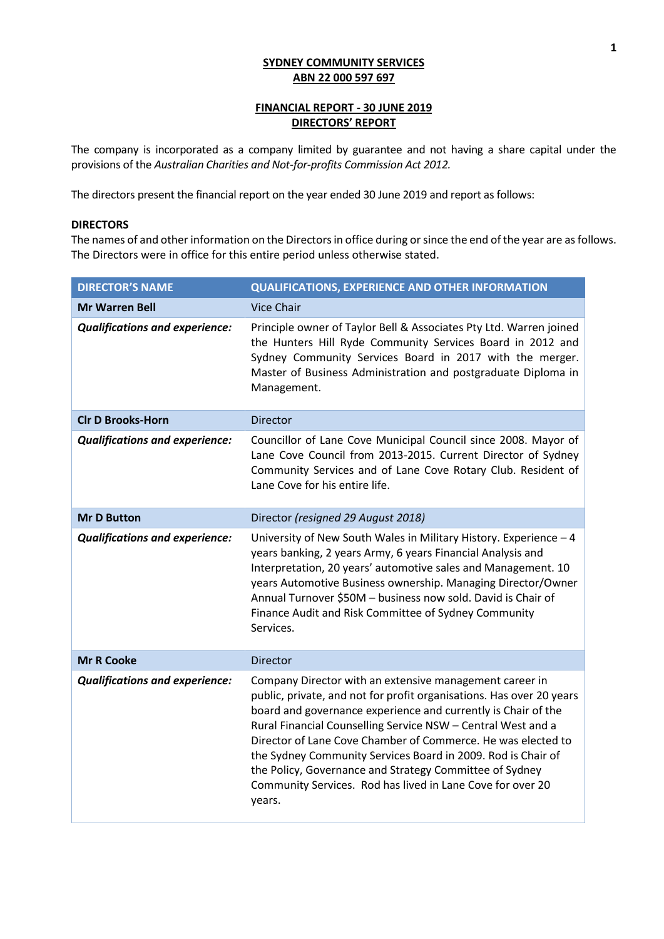# **FINANCIAL REPORT - 30 JUNE 2019 DIRECTORS' REPORT**

The company is incorporated as a company limited by guarantee and not having a share capital under the provisions of the *Australian Charities and Not-for-profits Commission Act 2012.*

The directors present the financial report on the year ended 30 June 2019 and report as follows:

### **DIRECTORS**

The names of and other information on the Directors in office during or since the end of the year are as follows. The Directors were in office for this entire period unless otherwise stated.

| <b>DIRECTOR'S NAME</b>                | <b>QUALIFICATIONS, EXPERIENCE AND OTHER INFORMATION</b>                                                                                                                                                                                                                                                                                                                                                                                                                                                                             |
|---------------------------------------|-------------------------------------------------------------------------------------------------------------------------------------------------------------------------------------------------------------------------------------------------------------------------------------------------------------------------------------------------------------------------------------------------------------------------------------------------------------------------------------------------------------------------------------|
| <b>Mr Warren Bell</b>                 | <b>Vice Chair</b>                                                                                                                                                                                                                                                                                                                                                                                                                                                                                                                   |
| <b>Qualifications and experience:</b> | Principle owner of Taylor Bell & Associates Pty Ltd. Warren joined<br>the Hunters Hill Ryde Community Services Board in 2012 and<br>Sydney Community Services Board in 2017 with the merger.<br>Master of Business Administration and postgraduate Diploma in<br>Management.                                                                                                                                                                                                                                                        |
| <b>Clr D Brooks-Horn</b>              | <b>Director</b>                                                                                                                                                                                                                                                                                                                                                                                                                                                                                                                     |
| <b>Qualifications and experience:</b> | Councillor of Lane Cove Municipal Council since 2008. Mayor of<br>Lane Cove Council from 2013-2015. Current Director of Sydney<br>Community Services and of Lane Cove Rotary Club. Resident of<br>Lane Cove for his entire life.                                                                                                                                                                                                                                                                                                    |
| <b>Mr D Button</b>                    | Director (resigned 29 August 2018)                                                                                                                                                                                                                                                                                                                                                                                                                                                                                                  |
| <b>Qualifications and experience:</b> | University of New South Wales in Military History. Experience - 4<br>years banking, 2 years Army, 6 years Financial Analysis and<br>Interpretation, 20 years' automotive sales and Management. 10<br>years Automotive Business ownership. Managing Director/Owner<br>Annual Turnover \$50M - business now sold. David is Chair of<br>Finance Audit and Risk Committee of Sydney Community<br>Services.                                                                                                                              |
| <b>Mr R Cooke</b>                     | <b>Director</b>                                                                                                                                                                                                                                                                                                                                                                                                                                                                                                                     |
| <b>Qualifications and experience:</b> | Company Director with an extensive management career in<br>public, private, and not for profit organisations. Has over 20 years<br>board and governance experience and currently is Chair of the<br>Rural Financial Counselling Service NSW - Central West and a<br>Director of Lane Cove Chamber of Commerce. He was elected to<br>the Sydney Community Services Board in 2009. Rod is Chair of<br>the Policy, Governance and Strategy Committee of Sydney<br>Community Services. Rod has lived in Lane Cove for over 20<br>years. |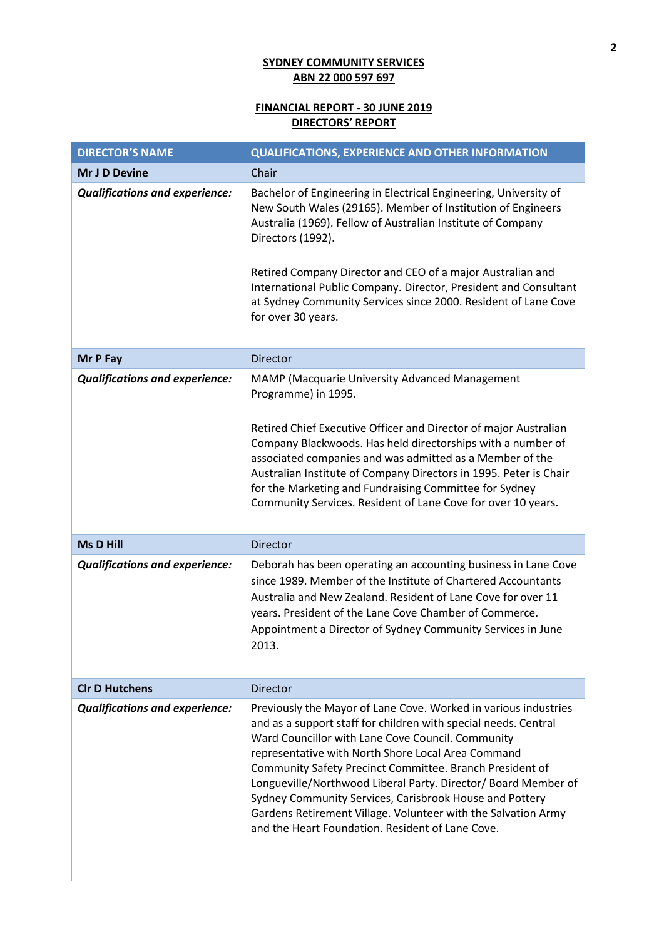# **FINANCIAL REPORT - 30 JUNE 2019 DIRECTORS' REPORT**

| <b>DIRECTOR'S NAME</b>                                                                             | <b>QUALIFICATIONS, EXPERIENCE AND OTHER INFORMATION</b>                                                                                                                                                                                                                                                                                                                                                                                                                                                                                                                                                                                                                                                                                                                                                           |
|----------------------------------------------------------------------------------------------------|-------------------------------------------------------------------------------------------------------------------------------------------------------------------------------------------------------------------------------------------------------------------------------------------------------------------------------------------------------------------------------------------------------------------------------------------------------------------------------------------------------------------------------------------------------------------------------------------------------------------------------------------------------------------------------------------------------------------------------------------------------------------------------------------------------------------|
| Mr J D Devine                                                                                      | Chair                                                                                                                                                                                                                                                                                                                                                                                                                                                                                                                                                                                                                                                                                                                                                                                                             |
| <b>Qualifications and experience:</b>                                                              | Bachelor of Engineering in Electrical Engineering, University of<br>New South Wales (29165). Member of Institution of Engineers<br>Australia (1969). Fellow of Australian Institute of Company<br>Directors (1992).<br>Retired Company Director and CEO of a major Australian and<br>International Public Company. Director, President and Consultant<br>at Sydney Community Services since 2000. Resident of Lane Cove<br>for over 30 years.                                                                                                                                                                                                                                                                                                                                                                     |
| Mr P Fay                                                                                           | <b>Director</b>                                                                                                                                                                                                                                                                                                                                                                                                                                                                                                                                                                                                                                                                                                                                                                                                   |
| <b>Qualifications and experience:</b><br><b>Ms D Hill</b><br><b>Qualifications and experience:</b> | MAMP (Macquarie University Advanced Management<br>Programme) in 1995.<br>Retired Chief Executive Officer and Director of major Australian<br>Company Blackwoods. Has held directorships with a number of<br>associated companies and was admitted as a Member of the<br>Australian Institute of Company Directors in 1995. Peter is Chair<br>for the Marketing and Fundraising Committee for Sydney<br>Community Services. Resident of Lane Cove for over 10 years.<br><b>Director</b><br>Deborah has been operating an accounting business in Lane Cove<br>since 1989. Member of the Institute of Chartered Accountants<br>Australia and New Zealand. Resident of Lane Cove for over 11<br>years. President of the Lane Cove Chamber of Commerce.<br>Appointment a Director of Sydney Community Services in June |
|                                                                                                    | 2013.                                                                                                                                                                                                                                                                                                                                                                                                                                                                                                                                                                                                                                                                                                                                                                                                             |
| <b>CIr D Hutchens</b>                                                                              | Director                                                                                                                                                                                                                                                                                                                                                                                                                                                                                                                                                                                                                                                                                                                                                                                                          |
| <b>Qualifications and experience:</b>                                                              | Previously the Mayor of Lane Cove. Worked in various industries<br>and as a support staff for children with special needs. Central<br>Ward Councillor with Lane Cove Council. Community<br>representative with North Shore Local Area Command<br>Community Safety Precinct Committee. Branch President of<br>Longueville/Northwood Liberal Party. Director/ Board Member of<br>Sydney Community Services, Carisbrook House and Pottery<br>Gardens Retirement Village. Volunteer with the Salvation Army<br>and the Heart Foundation. Resident of Lane Cove.                                                                                                                                                                                                                                                       |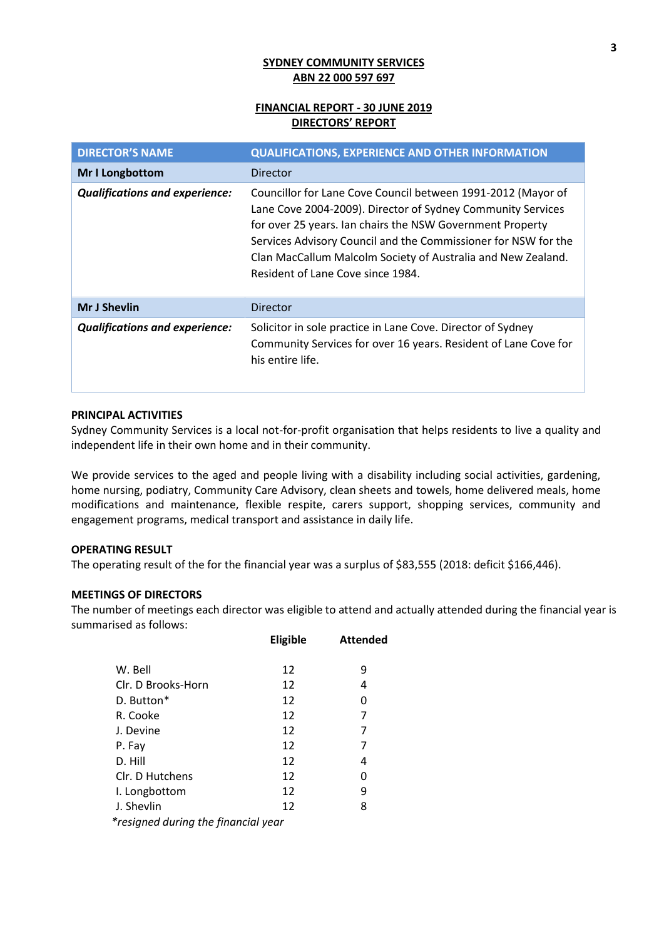# **FINANCIAL REPORT - 30 JUNE 2019 DIRECTORS' REPORT**

| <b>DIRECTOR'S NAME</b>                | <b>QUALIFICATIONS, EXPERIENCE AND OTHER INFORMATION</b>                                                                                                                                                                                                                                                                                                         |
|---------------------------------------|-----------------------------------------------------------------------------------------------------------------------------------------------------------------------------------------------------------------------------------------------------------------------------------------------------------------------------------------------------------------|
| Mr I Longbottom                       | Director                                                                                                                                                                                                                                                                                                                                                        |
| <b>Qualifications and experience:</b> | Councillor for Lane Cove Council between 1991-2012 (Mayor of<br>Lane Cove 2004-2009). Director of Sydney Community Services<br>for over 25 years. Ian chairs the NSW Government Property<br>Services Advisory Council and the Commissioner for NSW for the<br>Clan MacCallum Malcolm Society of Australia and New Zealand.<br>Resident of Lane Cove since 1984. |
| <b>Mr J Shevlin</b>                   | Director                                                                                                                                                                                                                                                                                                                                                        |
| <b>Qualifications and experience:</b> | Solicitor in sole practice in Lane Cove. Director of Sydney<br>Community Services for over 16 years. Resident of Lane Cove for<br>his entire life.                                                                                                                                                                                                              |

# **PRINCIPAL ACTIVITIES**

Sydney Community Services is a local not-for-profit organisation that helps residents to live a quality and independent life in their own home and in their community.

We provide services to the aged and people living with a disability including social activities, gardening, home nursing, podiatry, Community Care Advisory, clean sheets and towels, home delivered meals, home modifications and maintenance, flexible respite, carers support, shopping services, community and engagement programs, medical transport and assistance in daily life.

# **OPERATING RESULT**

The operating result of the for the financial year was a surplus of \$83,555 (2018: deficit \$166,446).

# **MEETINGS OF DIRECTORS**

The number of meetings each director was eligible to attend and actually attended during the financial year is summarised as follows:

|                                        | Eligible | <b>Attended</b> |
|----------------------------------------|----------|-----------------|
| W. Bell                                | 12       | 9               |
| Clr. D Brooks-Horn                     | 12       | 4               |
| D. Button*                             | 12       | 0               |
| R. Cooke                               | 12       | 7               |
| J. Devine                              | 12       | 7               |
| P. Fay                                 | 12       | 7               |
| D. Hill                                | 12       | 4               |
| Clr. D Hutchens                        | 12       | 0               |
| I. Longbottom                          | 12       | 9               |
| J. Shevlin                             | 12       | 8               |
| $*$ rocianod durina tho financial yoar |          |                 |

*\*resigned during the financial year*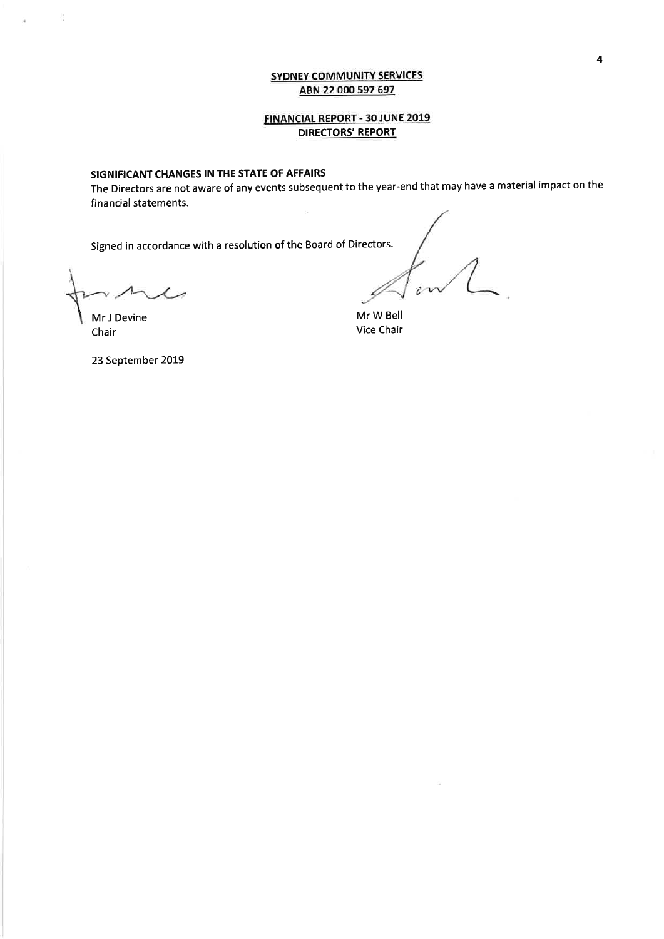# **FINANCIAL REPORT - 30 JUNE 2019 DIRECTORS' REPORT**

## SIGNIFICANT CHANGES IN THE STATE OF AFFAIRS

The Directors are not aware of any events subsequent to the year-end that may have a material impact on the financial statements. s.

Signed in accordance with a resolution of the Board of Directors.

 $x = 1$ 

in

Mr W Bell Vice Chair

Mr J Devine Chair

23 September 2019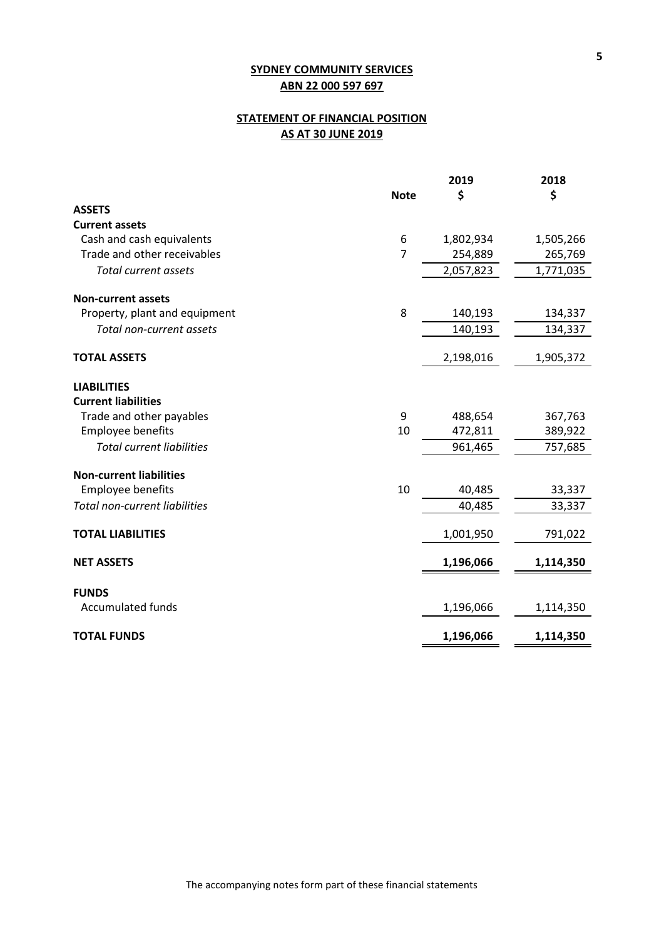# **STATEMENT OF FINANCIAL POSITION AS AT 30 JUNE 2019**

|                                      |             | 2019      | 2018      |
|--------------------------------------|-------------|-----------|-----------|
|                                      | <b>Note</b> | \$        | \$        |
| <b>ASSETS</b>                        |             |           |           |
| <b>Current assets</b>                |             |           |           |
| Cash and cash equivalents            | 6           | 1,802,934 | 1,505,266 |
| Trade and other receivables          | 7           | 254,889   | 265,769   |
| <b>Total current assets</b>          |             | 2,057,823 | 1,771,035 |
| <b>Non-current assets</b>            |             |           |           |
| Property, plant and equipment        | 8           | 140,193   | 134,337   |
| Total non-current assets             |             | 140,193   | 134,337   |
| <b>TOTAL ASSETS</b>                  |             | 2,198,016 | 1,905,372 |
| <b>LIABILITIES</b>                   |             |           |           |
| <b>Current liabilities</b>           |             |           |           |
| Trade and other payables             | 9           | 488,654   | 367,763   |
| <b>Employee benefits</b>             | 10          | 472,811   | 389,922   |
| <b>Total current liabilities</b>     |             | 961,465   | 757,685   |
| <b>Non-current liabilities</b>       |             |           |           |
| Employee benefits                    | 10          | 40,485    | 33,337    |
| <b>Total non-current liabilities</b> |             | 40,485    | 33,337    |
| <b>TOTAL LIABILITIES</b>             |             | 1,001,950 | 791,022   |
| <b>NET ASSETS</b>                    |             | 1,196,066 | 1,114,350 |
| <b>FUNDS</b>                         |             |           |           |
| <b>Accumulated funds</b>             |             | 1,196,066 | 1,114,350 |
| <b>TOTAL FUNDS</b>                   |             | 1,196,066 | 1,114,350 |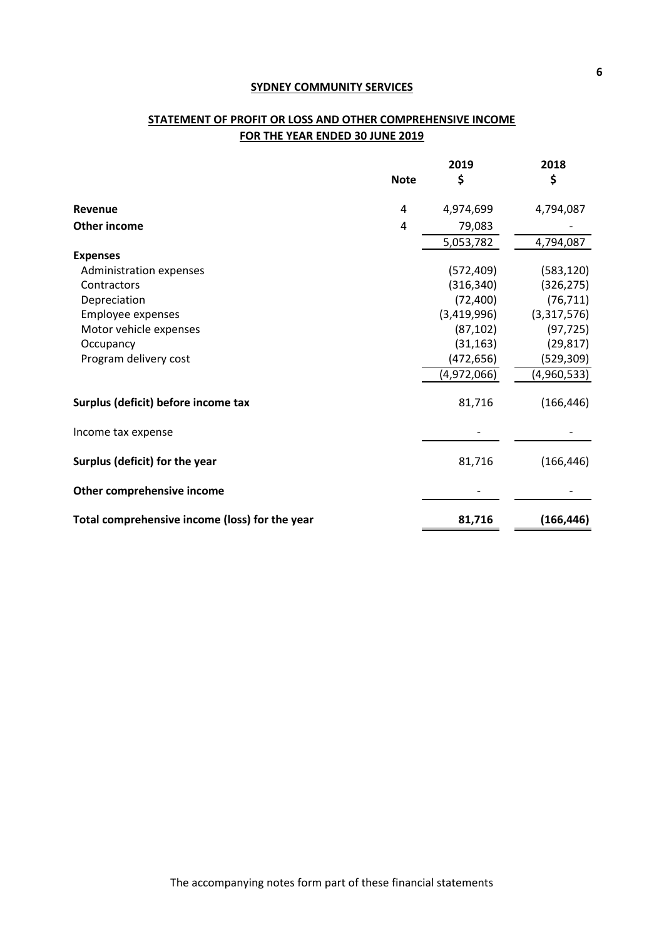# **STATEMENT OF PROFIT OR LOSS AND OTHER COMPREHENSIVE INCOME FOR THE YEAR ENDED 30 JUNE 2019**

|                                                | <b>Note</b> | 2019<br>\$  | 2018<br>\$  |
|------------------------------------------------|-------------|-------------|-------------|
| Revenue                                        | 4           | 4,974,699   | 4,794,087   |
| <b>Other income</b>                            | 4           | 79,083      |             |
|                                                |             | 5,053,782   | 4,794,087   |
| <b>Expenses</b>                                |             |             |             |
| Administration expenses                        |             | (572, 409)  | (583, 120)  |
| Contractors                                    |             | (316, 340)  | (326, 275)  |
| Depreciation                                   |             | (72, 400)   | (76, 711)   |
| Employee expenses                              |             | (3,419,996) | (3,317,576) |
| Motor vehicle expenses                         |             | (87, 102)   | (97, 725)   |
| Occupancy                                      |             | (31, 163)   | (29, 817)   |
| Program delivery cost                          |             | (472, 656)  | (529,309)   |
|                                                |             | (4,972,066) | (4,960,533) |
| Surplus (deficit) before income tax            |             | 81,716      | (166, 446)  |
| Income tax expense                             |             |             |             |
| Surplus (deficit) for the year                 |             | 81,716      | (166, 446)  |
| Other comprehensive income                     |             |             |             |
| Total comprehensive income (loss) for the year |             | 81,716      | (166, 446)  |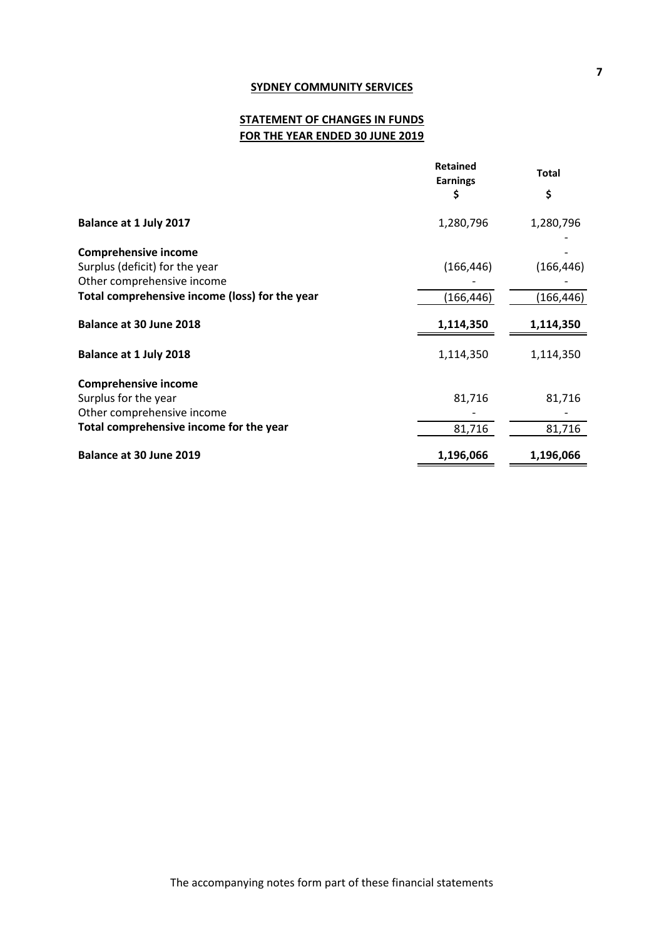# **STATEMENT OF CHANGES IN FUNDS FOR THE YEAR ENDED 30 JUNE 2019**

|                                                | <b>Retained</b><br><b>Earnings</b> | <b>Total</b> |
|------------------------------------------------|------------------------------------|--------------|
|                                                | \$                                 | \$           |
| Balance at 1 July 2017                         | 1,280,796                          | 1,280,796    |
| <b>Comprehensive income</b>                    |                                    |              |
| Surplus (deficit) for the year                 | (166, 446)                         | (166, 446)   |
| Other comprehensive income                     |                                    |              |
| Total comprehensive income (loss) for the year | (166, 446)                         | (166,446)    |
| Balance at 30 June 2018                        | 1,114,350                          | 1,114,350    |
| Balance at 1 July 2018                         | 1,114,350                          | 1,114,350    |
| <b>Comprehensive income</b>                    |                                    |              |
| Surplus for the year                           | 81,716                             | 81,716       |
| Other comprehensive income                     |                                    |              |
| Total comprehensive income for the year        | 81,716                             | 81,716       |
| Balance at 30 June 2019                        | 1,196,066                          | 1,196,066    |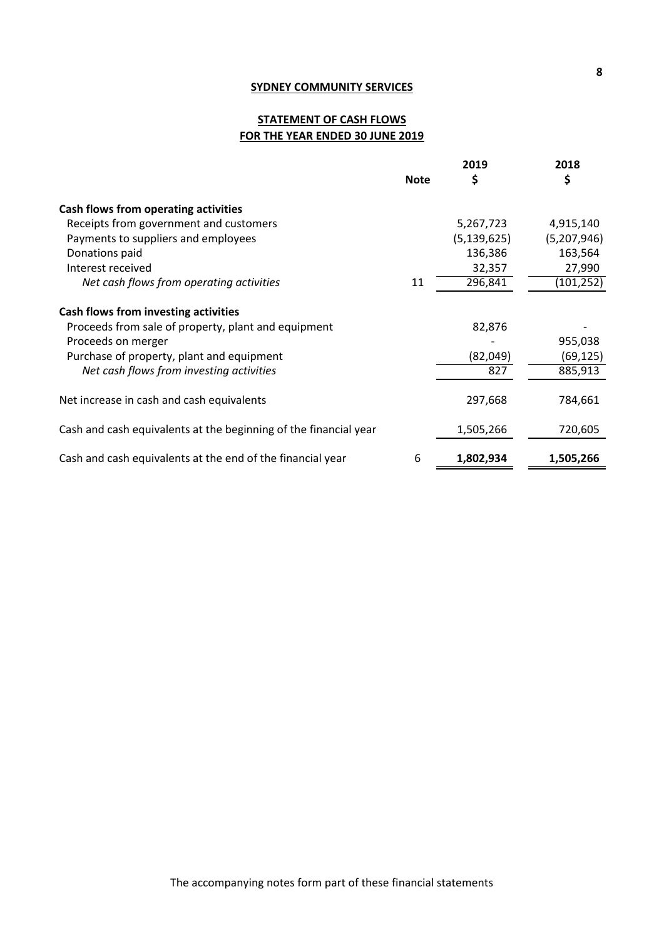# **STATEMENT OF CASH FLOWS FOR THE YEAR ENDED 30 JUNE 2019**

|                                                                  |             | 2019          | 2018        |
|------------------------------------------------------------------|-------------|---------------|-------------|
|                                                                  | <b>Note</b> | \$            | \$          |
| Cash flows from operating activities                             |             |               |             |
| Receipts from government and customers                           |             | 5,267,723     | 4,915,140   |
| Payments to suppliers and employees                              |             | (5, 139, 625) | (5,207,946) |
| Donations paid                                                   |             | 136,386       | 163,564     |
| Interest received                                                |             | 32,357        | 27,990      |
| Net cash flows from operating activities                         | 11          | 296,841       | (101,252)   |
| Cash flows from investing activities                             |             |               |             |
| Proceeds from sale of property, plant and equipment              |             | 82,876        |             |
| Proceeds on merger                                               |             |               | 955,038     |
| Purchase of property, plant and equipment                        |             | (82,049)      | (69, 125)   |
| Net cash flows from investing activities                         |             | 827           | 885,913     |
| Net increase in cash and cash equivalents                        |             | 297,668       | 784,661     |
| Cash and cash equivalents at the beginning of the financial year |             | 1,505,266     | 720,605     |
| Cash and cash equivalents at the end of the financial year       | 6           | 1,802,934     | 1,505,266   |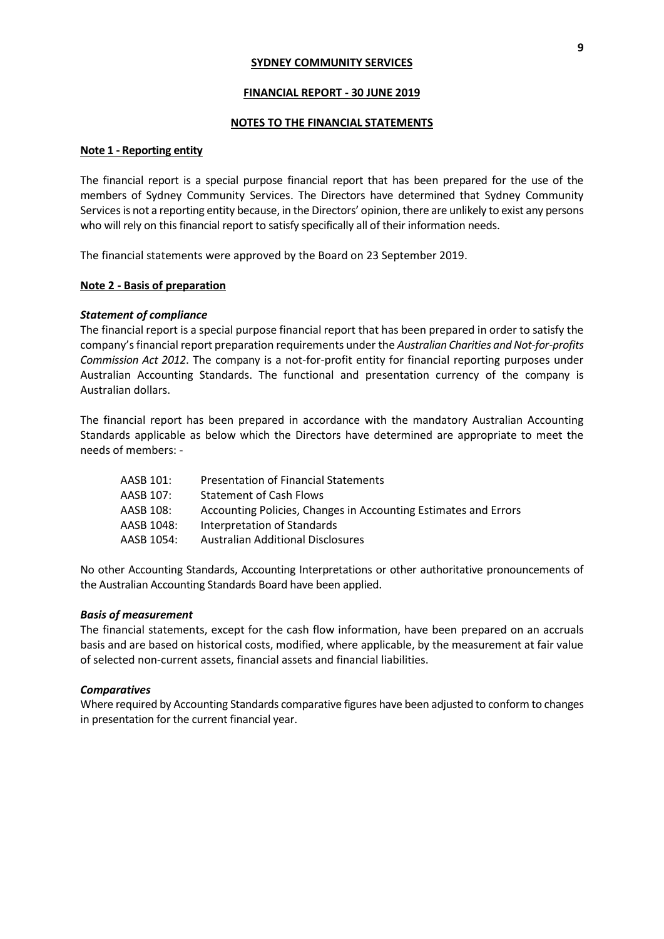#### **FINANCIAL REPORT - 30 JUNE 2019**

#### **NOTES TO THE FINANCIAL STATEMENTS**

#### **Note 1 - Reporting entity**

The financial report is a special purpose financial report that has been prepared for the use of the members of Sydney Community Services. The Directors have determined that Sydney Community Services is not a reporting entity because, in the Directors' opinion, there are unlikely to exist any persons who will rely on this financial report to satisfy specifically all of their information needs.

The financial statements were approved by the Board on 23 September 2019.

### **Note 2 - Basis of preparation**

#### *Statement of compliance*

The financial report is a special purpose financial report that has been prepared in order to satisfy the company's financial report preparation requirements under the *Australian Charities and Not-for-profits Commission Act 2012*. The company is a not-for-profit entity for financial reporting purposes under Australian Accounting Standards. The functional and presentation currency of the company is Australian dollars.

The financial report has been prepared in accordance with the mandatory Australian Accounting Standards applicable as below which the Directors have determined are appropriate to meet the needs of members: -

| AASB 101:  | <b>Presentation of Financial Statements</b>                     |
|------------|-----------------------------------------------------------------|
| AASB 107:  | <b>Statement of Cash Flows</b>                                  |
| AASB 108:  | Accounting Policies, Changes in Accounting Estimates and Errors |
| AASB 1048: | Interpretation of Standards                                     |
| AASB 1054: | <b>Australian Additional Disclosures</b>                        |
|            |                                                                 |

No other Accounting Standards, Accounting Interpretations or other authoritative pronouncements of the Australian Accounting Standards Board have been applied.

### *Basis of measurement*

The financial statements, except for the cash flow information, have been prepared on an accruals basis and are based on historical costs, modified, where applicable, by the measurement at fair value of selected non-current assets, financial assets and financial liabilities.

#### *Comparatives*

Where required by Accounting Standards comparative figures have been adjusted to conform to changes in presentation for the current financial year.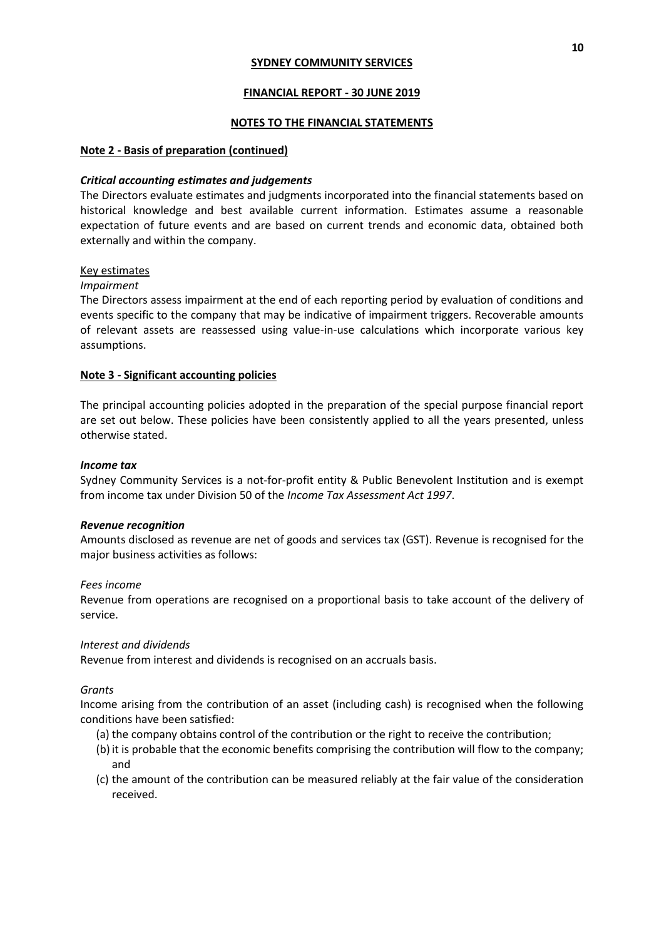## **FINANCIAL REPORT - 30 JUNE 2019**

## **NOTES TO THE FINANCIAL STATEMENTS**

## **Note 2 - Basis of preparation (continued)**

## *Critical accounting estimates and judgements*

The Directors evaluate estimates and judgments incorporated into the financial statements based on historical knowledge and best available current information. Estimates assume a reasonable expectation of future events and are based on current trends and economic data, obtained both externally and within the company.

### Key estimates

## *Impairment*

The Directors assess impairment at the end of each reporting period by evaluation of conditions and events specific to the company that may be indicative of impairment triggers. Recoverable amounts of relevant assets are reassessed using value-in-use calculations which incorporate various key assumptions.

## **Note 3 - Significant accounting policies**

The principal accounting policies adopted in the preparation of the special purpose financial report are set out below. These policies have been consistently applied to all the years presented, unless otherwise stated.

## *Income tax*

Sydney Community Services is a not-for-profit entity & Public Benevolent Institution and is exempt from income tax under Division 50 of the *Income Tax Assessment Act 1997*.

### *Revenue recognition*

Amounts disclosed as revenue are net of goods and services tax (GST). Revenue is recognised for the major business activities as follows:

### *Fees income*

Revenue from operations are recognised on a proportional basis to take account of the delivery of service.

### *Interest and dividends*

Revenue from interest and dividends is recognised on an accruals basis.

### *Grants*

Income arising from the contribution of an asset (including cash) is recognised when the following conditions have been satisfied:

- (a) the company obtains control of the contribution or the right to receive the contribution;
- (b)it is probable that the economic benefits comprising the contribution will flow to the company; and
- (c) the amount of the contribution can be measured reliably at the fair value of the consideration received.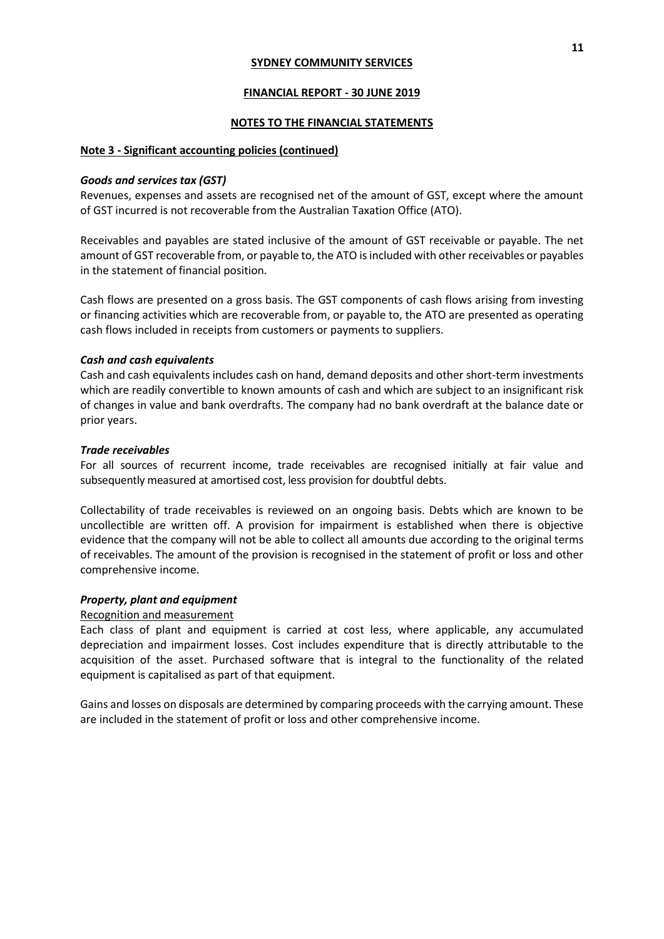#### **FINANCIAL REPORT - 30 JUNE 2019**

#### **NOTES TO THE FINANCIAL STATEMENTS**

#### **Note 3 - Significant accounting policies (continued)**

#### *Goods and services tax (GST)*

Revenues, expenses and assets are recognised net of the amount of GST, except where the amount of GST incurred is not recoverable from the Australian Taxation Office (ATO).

Receivables and payables are stated inclusive of the amount of GST receivable or payable. The net amount of GST recoverable from, or payable to, the ATO is included with other receivables or payables in the statement of financial position.

Cash flows are presented on a gross basis. The GST components of cash flows arising from investing or financing activities which are recoverable from, or payable to, the ATO are presented as operating cash flows included in receipts from customers or payments to suppliers.

### *Cash and cash equivalents*

Cash and cash equivalents includes cash on hand, demand deposits and other short-term investments which are readily convertible to known amounts of cash and which are subject to an insignificant risk of changes in value and bank overdrafts. The company had no bank overdraft at the balance date or prior years.

#### *Trade receivables*

For all sources of recurrent income, trade receivables are recognised initially at fair value and subsequently measured at amortised cost, less provision for doubtful debts.

Collectability of trade receivables is reviewed on an ongoing basis. Debts which are known to be uncollectible are written off. A provision for impairment is established when there is objective evidence that the company will not be able to collect all amounts due according to the original terms of receivables. The amount of the provision is recognised in the statement of profit or loss and other comprehensive income.

#### *Property, plant and equipment*

#### Recognition and measurement

Each class of plant and equipment is carried at cost less, where applicable, any accumulated depreciation and impairment losses. Cost includes expenditure that is directly attributable to the acquisition of the asset. Purchased software that is integral to the functionality of the related equipment is capitalised as part of that equipment.

Gains and losses on disposals are determined by comparing proceeds with the carrying amount. These are included in the statement of profit or loss and other comprehensive income.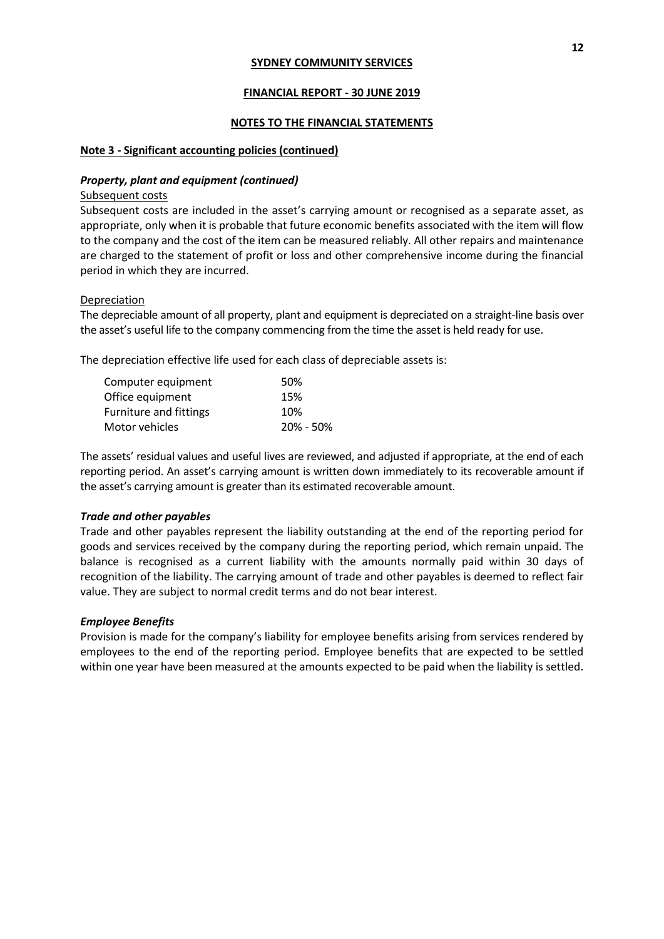## **FINANCIAL REPORT - 30 JUNE 2019**

## **NOTES TO THE FINANCIAL STATEMENTS**

## **Note 3 - Significant accounting policies (continued)**

## *Property, plant and equipment (continued)*

Subsequent costs

Subsequent costs are included in the asset's carrying amount or recognised as a separate asset, as appropriate, only when it is probable that future economic benefits associated with the item will flow to the company and the cost of the item can be measured reliably. All other repairs and maintenance are charged to the statement of profit or loss and other comprehensive income during the financial period in which they are incurred.

## Depreciation

The depreciable amount of all property, plant and equipment is depreciated on a straight-line basis over the asset's useful life to the company commencing from the time the asset is held ready for use.

The depreciation effective life used for each class of depreciable assets is:

| 50%       |
|-----------|
| 15%       |
| 10%       |
| 20% - 50% |
|           |

The assets' residual values and useful lives are reviewed, and adjusted if appropriate, at the end of each reporting period. An asset's carrying amount is written down immediately to its recoverable amount if the asset's carrying amount is greater than its estimated recoverable amount.

# *Trade and other payables*

Trade and other payables represent the liability outstanding at the end of the reporting period for goods and services received by the company during the reporting period, which remain unpaid. The balance is recognised as a current liability with the amounts normally paid within 30 days of recognition of the liability. The carrying amount of trade and other payables is deemed to reflect fair value. They are subject to normal credit terms and do not bear interest.

# *Employee Benefits*

Provision is made for the company's liability for employee benefits arising from services rendered by employees to the end of the reporting period. Employee benefits that are expected to be settled within one year have been measured at the amounts expected to be paid when the liability is settled.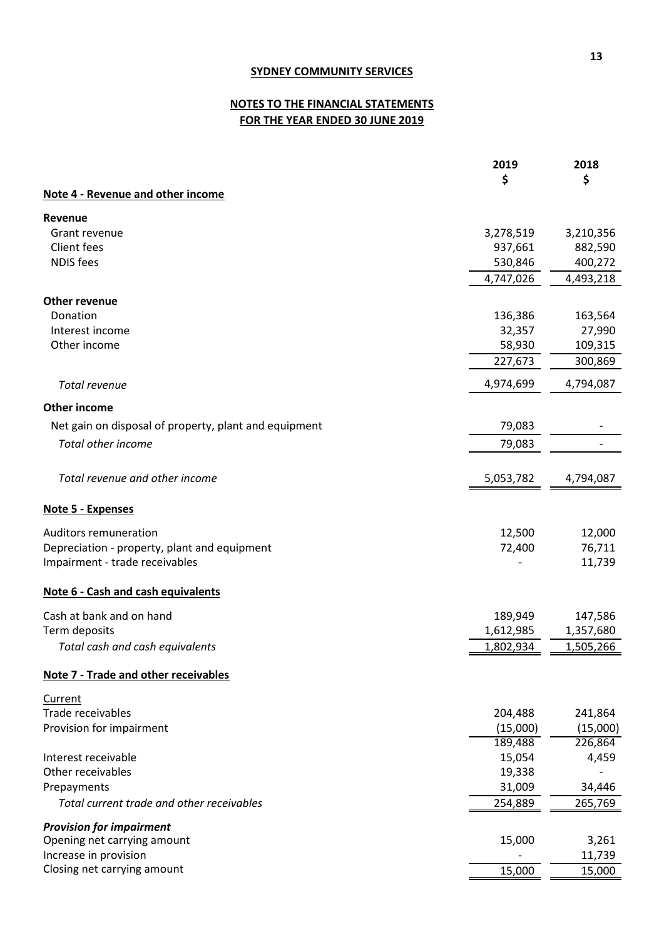# **NOTES TO THE FINANCIAL STATEMENTS FOR THE YEAR ENDED 30 JUNE 2019**

|                                                                                | 2019              | 2018             |
|--------------------------------------------------------------------------------|-------------------|------------------|
|                                                                                | \$                | \$               |
| Note 4 - Revenue and other income                                              |                   |                  |
| Revenue                                                                        |                   |                  |
| Grant revenue                                                                  | 3,278,519         | 3,210,356        |
| <b>Client fees</b>                                                             | 937,661           | 882,590          |
| <b>NDIS</b> fees                                                               | 530,846           | 400,272          |
|                                                                                | 4,747,026         | 4,493,218        |
|                                                                                |                   |                  |
| <b>Other revenue</b>                                                           |                   |                  |
| Donation                                                                       | 136,386           | 163,564          |
| Interest income                                                                | 32,357            | 27,990           |
| Other income                                                                   | 58,930            | 109,315          |
|                                                                                | 227,673           | 300,869          |
| Total revenue                                                                  | 4,974,699         | 4,794,087        |
|                                                                                |                   |                  |
| <b>Other income</b>                                                            |                   |                  |
| Net gain on disposal of property, plant and equipment                          | 79,083            |                  |
| <b>Total other income</b>                                                      | 79,083            |                  |
|                                                                                |                   |                  |
| Total revenue and other income                                                 | 5,053,782         | 4,794,087        |
| Note 5 - Expenses                                                              |                   |                  |
|                                                                                |                   |                  |
| <b>Auditors remuneration</b>                                                   | 12,500<br>72,400  | 12,000           |
| Depreciation - property, plant and equipment<br>Impairment - trade receivables |                   | 76,711<br>11,739 |
|                                                                                |                   |                  |
| Note 6 - Cash and cash equivalents                                             |                   |                  |
| Cash at bank and on hand                                                       | 189,949           | 147,586          |
| Term deposits                                                                  | 1,612,985         | 1,357,680        |
| Total cash and cash equivalents                                                | 1,802,934         | 1,505,266        |
| Note 7 - Trade and other receivables                                           |                   |                  |
|                                                                                |                   |                  |
| Current                                                                        |                   |                  |
| Trade receivables                                                              | 204,488           | 241,864          |
| Provision for impairment                                                       | (15,000)          | (15,000)         |
| Interest receivable                                                            | 189,488<br>15,054 | 226,864<br>4,459 |
| Other receivables                                                              | 19,338            |                  |
| Prepayments                                                                    | 31,009            | 34,446           |
| Total current trade and other receivables                                      |                   |                  |
|                                                                                | 254,889           | 265,769          |
| <b>Provision for impairment</b>                                                |                   |                  |
| Opening net carrying amount                                                    | 15,000            | 3,261            |
| Increase in provision                                                          |                   | 11,739           |
| Closing net carrying amount                                                    | 15,000            | 15,000           |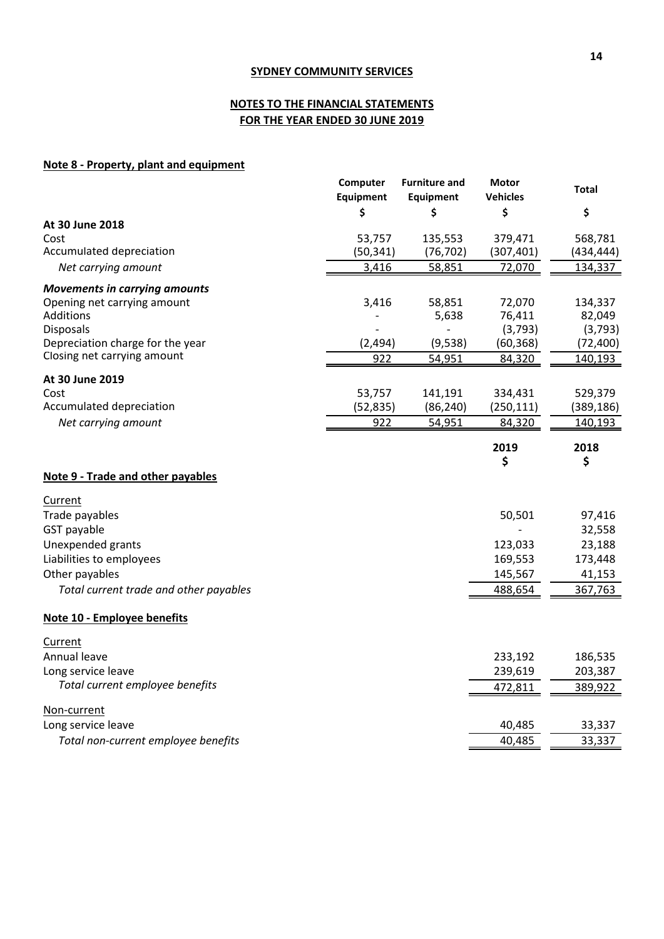# **NOTES TO THE FINANCIAL STATEMENTS FOR THE YEAR ENDED 30 JUNE 2019**

# **Note 8 - Property, plant and equipment**

|                                        | Computer  | <b>Furniture and</b> | <b>Motor</b>    | <b>Total</b> |
|----------------------------------------|-----------|----------------------|-----------------|--------------|
|                                        | Equipment | <b>Equipment</b>     | <b>Vehicles</b> |              |
|                                        | \$        | \$                   | \$              | \$           |
| At 30 June 2018                        |           |                      |                 |              |
| Cost                                   | 53,757    | 135,553              | 379,471         | 568,781      |
| Accumulated depreciation               | (50, 341) | (76, 702)            | (307, 401)      | (434,444)    |
| Net carrying amount                    | 3,416     | 58,851               | 72,070          | 134,337      |
| <b>Movements in carrying amounts</b>   |           |                      |                 |              |
| Opening net carrying amount            | 3,416     | 58,851               | 72,070          | 134,337      |
| Additions                              |           | 5,638                | 76,411          | 82,049       |
| <b>Disposals</b>                       |           |                      | (3, 793)        | (3, 793)     |
| Depreciation charge for the year       | (2, 494)  | (9,538)              | (60, 368)       | (72, 400)    |
| Closing net carrying amount            | 922       | 54,951               | 84,320          | 140,193      |
| At 30 June 2019                        |           |                      |                 |              |
| Cost                                   | 53,757    | 141,191              | 334,431         | 529,379      |
| Accumulated depreciation               | (52, 835) | (86, 240)            | (250, 111)      | (389, 186)   |
| Net carrying amount                    | 922       | 54,951               | 84,320          | 140,193      |
|                                        |           |                      |                 |              |
|                                        |           |                      | 2019<br>\$      | 2018<br>\$   |
| Note 9 - Trade and other payables      |           |                      |                 |              |
| Current                                |           |                      |                 |              |
| Trade payables                         |           |                      | 50,501          | 97,416       |
| GST payable                            |           |                      |                 | 32,558       |
| Unexpended grants                      |           |                      | 123,033         | 23,188       |
| Liabilities to employees               |           |                      | 169,553         | 173,448      |
| Other payables                         |           |                      | 145,567         | 41,153       |
| Total current trade and other payables |           |                      | 488,654         | 367,763      |
| Note 10 - Employee benefits            |           |                      |                 |              |
|                                        |           |                      |                 |              |
| Current                                |           |                      |                 |              |
| Annual leave                           |           |                      | 233,192         | 186,535      |
| Long service leave                     |           |                      | 239,619         | 203,387      |
| Total current employee benefits        |           |                      | 472,811         | 389,922      |
| Non-current                            |           |                      |                 |              |
| Long service leave                     |           |                      | 40,485          | 33,337       |
| Total non-current employee benefits    |           |                      | 40,485          | 33,337       |
|                                        |           |                      |                 |              |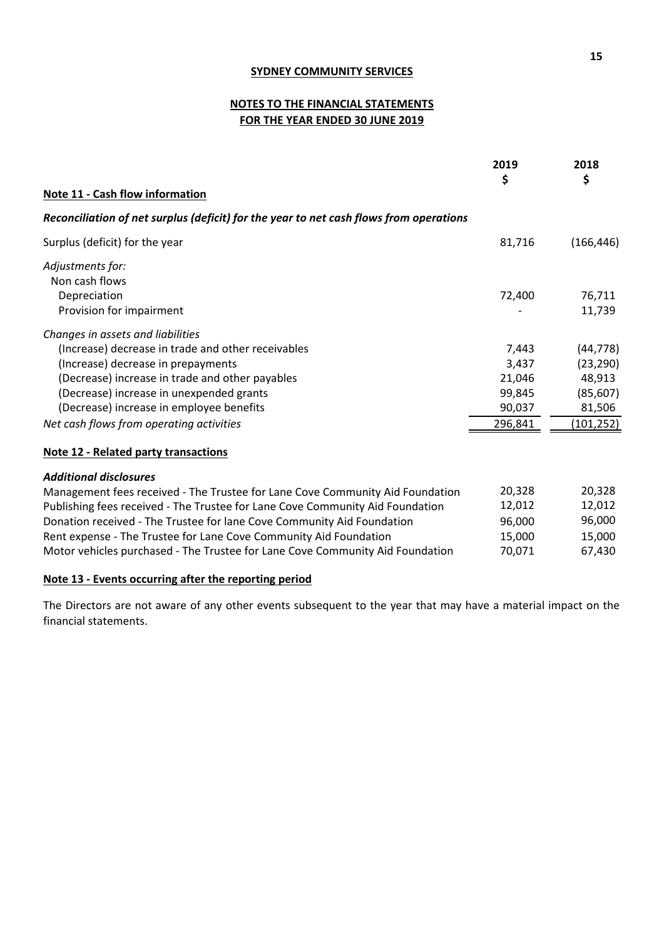# **NOTES TO THE FINANCIAL STATEMENTS FOR THE YEAR ENDED 30 JUNE 2019**

|                                                                                        | 2019<br>\$                    | 2018<br>\$                    |
|----------------------------------------------------------------------------------------|-------------------------------|-------------------------------|
| Note 11 - Cash flow information                                                        |                               |                               |
| Reconciliation of net surplus (deficit) for the year to net cash flows from operations |                               |                               |
| Surplus (deficit) for the year                                                         | 81,716                        | (166, 446)                    |
| Adjustments for:                                                                       |                               |                               |
| Non cash flows                                                                         |                               |                               |
| Depreciation                                                                           | 72,400                        | 76,711                        |
| Provision for impairment                                                               |                               | 11,739                        |
| Changes in assets and liabilities                                                      |                               |                               |
| (Increase) decrease in trade and other receivables                                     | 7,443                         | (44, 778)                     |
| (Increase) decrease in prepayments                                                     | 3,437                         | (23, 290)                     |
| (Decrease) increase in trade and other payables                                        | 21,046                        | 48,913                        |
| (Decrease) increase in unexpended grants                                               | 99,845                        | (85, 607)                     |
| (Decrease) increase in employee benefits                                               | 90,037                        | 81,506                        |
| Net cash flows from operating activities                                               | 296,841                       | (101, 252)                    |
| <b>Note 12 - Related party transactions</b>                                            |                               |                               |
| <b>Additional disclosures</b>                                                          |                               |                               |
| Management fees received - The Trustee for Lane Cove Community Aid Foundation          | 20,328                        | 20,328                        |
|                                                                                        | $\overline{a}$ $\overline{a}$ | $\overline{a}$ $\overline{a}$ |

| INFORMATION TO CONTINUES THE COVE CONTINUINTY AND FOUNDATION.                 | ZU,JZU | 20,920 |
|-------------------------------------------------------------------------------|--------|--------|
| Publishing fees received - The Trustee for Lane Cove Community Aid Foundation | 12,012 | 12.012 |
| Donation received - The Trustee for lane Cove Community Aid Foundation        | 96.000 | 96.000 |
| Rent expense - The Trustee for Lane Cove Community Aid Foundation             | 15.000 | 15.000 |
| Motor vehicles purchased - The Trustee for Lane Cove Community Aid Foundation | 70.071 | 67.430 |
|                                                                               |        |        |

# **Note 13 - Events occurring after the reporting period**

The Directors are not aware of any other events subsequent to the year that may have a material impact on the financial statements.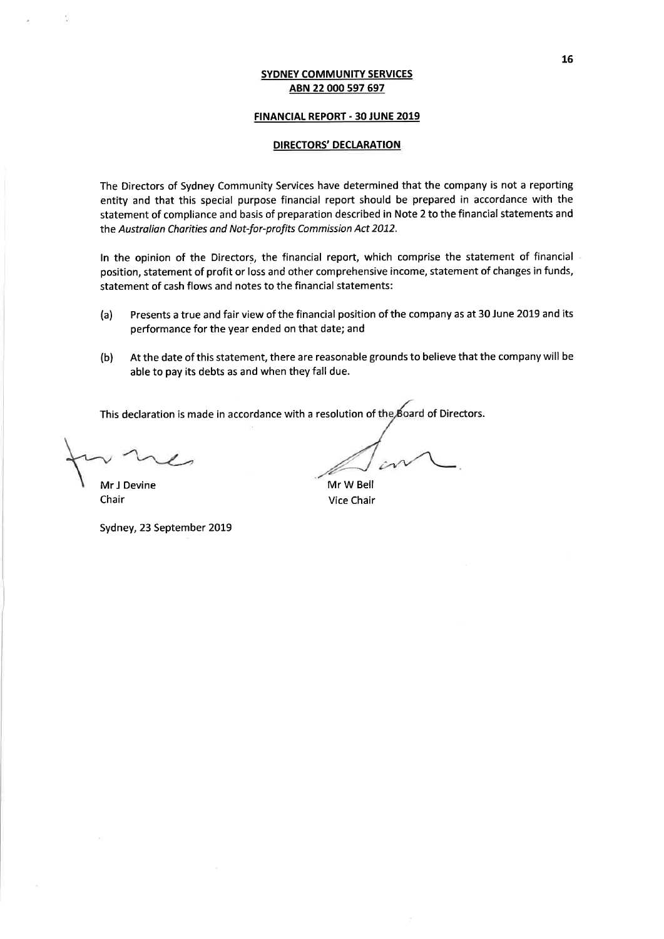# **FINANCIAL REPORT - 30 JUNE 2019**

# **DIRECTORS' DECLARATION**

The Directors of Sydney Community Services have determined that the company is not a reporting entity and that this special purpose financial report should be prepared in accordance with the statement of compliance and basis of preparation described in Note 2 to the financial statements and the Australian Charities and Not-for-profits Commission Act 2012.

In the opinion of the Directors, the financial report, which comprise the statement of financial position, statement of profit or loss and other comprehensive income, statement of changes in funds, statement of cash flows and notes to the financial statements:

- Presents a true and fair view of the financial position of the company as at 30 June 2019 and its  $(a)$ performance for the year ended on that date; and
- At the date of this statement, there are reasonable grounds to believe that the company will be  $(b)$ able to pay its debts as and when they fall due.

This declaration is made in accordance with a resolution of the Board of Directors.

Mr J Devine Chair

Sydney, 23 September 2019

Mr W Bell Vice Chair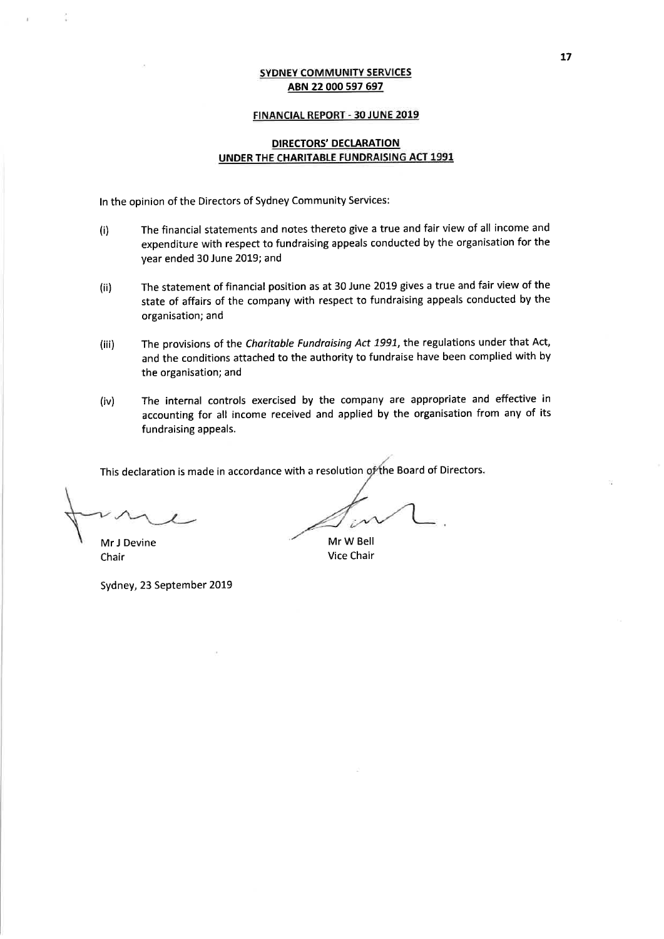#### FINANCIAL REPORT - 30 JUNE 2019

## **DIRECTORS' DECLARATION** UNDER THE CHARITABLE FUNDRAISING ACT 1991

In the opinion of the Directors of Sydney Community Services:

- The financial statements and notes thereto give a true and fair view of all income and  $(i)$ expenditure with respect to fundraising appeals conducted by the organisation for the year ended 30 June 2019; and
- The statement of financial position as at 30 June 2019 gives a true and fair view of the  $(ii)$ state of affairs of the company with respect to fundraising appeals conducted by the organisation; and
- The provisions of the Charitable Fundraising Act 1991, the regulations under that Act,  $(iii)$ and the conditions attached to the authority to fundraise have been complied with by the organisation; and
- The internal controls exercised by the company are appropriate and effective in  $(iv)$ accounting for all income received and applied by the organisation from any of its fundraising appeals.

This declaration is made in accordance with a resolution of the Board of Directors.

Mr J Devine Chair

Sydney, 23 September 2019

Mr W Bell **Vice Chair**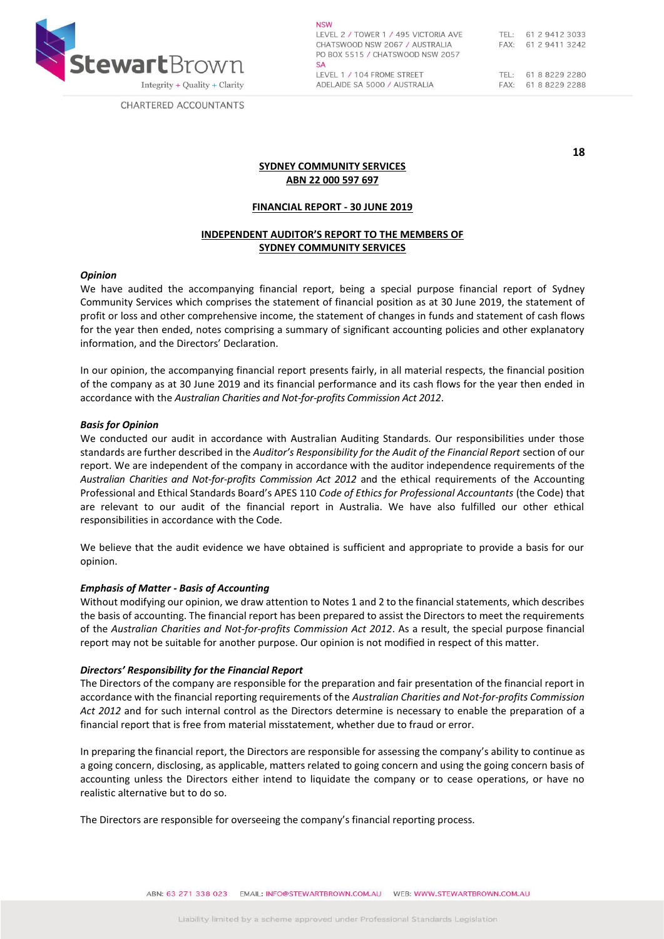

CHARTERED ACCOUNTANTS

**NSW** LEVEL 2 / TOWER 1 / 495 VICTORIA AVE CHATSWOOD NSW 2067 / AUSTRALIA PO BOX 5515 / CHATSWOOD NSW 2057  $SA$ LEVEL 1 / 104 FROME STREET ADELAIDE SA 5000 / AUSTRALIA

**18**

## **SYDNEY COMMUNITY SERVICES ABN 22 000 597 697**

#### **FINANCIAL REPORT - 30 JUNE 2019**

### **INDEPENDENT AUDITOR'S REPORT TO THE MEMBERS OF SYDNEY COMMUNITY SERVICES**

#### *Opinion*

We have audited the accompanying financial report, being a special purpose financial report of Sydney Community Services which comprises the statement of financial position as at 30 June 2019, the statement of profit or loss and other comprehensive income, the statement of changes in funds and statement of cash flows for the year then ended, notes comprising a summary of significant accounting policies and other explanatory information, and the Directors' Declaration.

In our opinion, the accompanying financial report presents fairly, in all material respects, the financial position of the company as at 30 June 2019 and its financial performance and its cash flows for the year then ended in accordance with the *Australian Charities and Not-for-profits Commission Act 2012*.

#### *Basis for Opinion*

We conducted our audit in accordance with Australian Auditing Standards. Our responsibilities under those standards are further described in the *Auditor's Responsibility for the Audit of the Financial Report* section of our report. We are independent of the company in accordance with the auditor independence requirements of the *Australian Charities and Not-for-profits Commission Act 2012* and the ethical requirements of the Accounting Professional and Ethical Standards Board's APES 110 *Code of Ethics for Professional Accountants* (the Code) that are relevant to our audit of the financial report in Australia. We have also fulfilled our other ethical responsibilities in accordance with the Code.

We believe that the audit evidence we have obtained is sufficient and appropriate to provide a basis for our opinion.

#### *Emphasis of Matter - Basis of Accounting*

Without modifying our opinion, we draw attention to Notes 1 and 2 to the financial statements, which describes the basis of accounting. The financial report has been prepared to assist the Directors to meet the requirements of the *Australian Charities and Not-for-profits Commission Act 2012*. As a result, the special purpose financial report may not be suitable for another purpose. Our opinion is not modified in respect of this matter.

#### *Directors' Responsibility for the Financial Report*

The Directors of the company are responsible for the preparation and fair presentation of the financial report in accordance with the financial reporting requirements of the *Australian Charities and Not‐for‐profits Commission Act 2012* and for such internal control as the Directors determine is necessary to enable the preparation of a financial report that is free from material misstatement, whether due to fraud or error.

In preparing the financial report, the Directors are responsible for assessing the company's ability to continue as a going concern, disclosing, as applicable, matters related to going concern and using the going concern basis of accounting unless the Directors either intend to liquidate the company or to cease operations, or have no realistic alternative but to do so.

The Directors are responsible for overseeing the company's financial reporting process.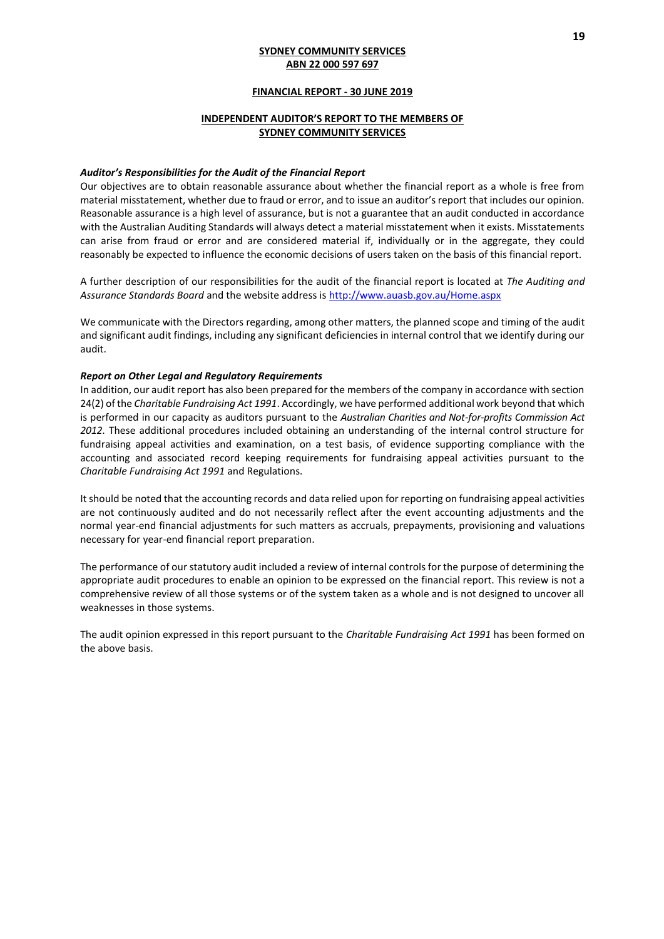### **FINANCIAL REPORT - 30 JUNE 2019**

### **INDEPENDENT AUDITOR'S REPORT TO THE MEMBERS OF SYDNEY COMMUNITY SERVICES**

#### *Auditor's Responsibilities for the Audit of the Financial Report*

Our objectives are to obtain reasonable assurance about whether the financial report as a whole is free from material misstatement, whether due to fraud or error, and to issue an auditor's report that includes our opinion. Reasonable assurance is a high level of assurance, but is not a guarantee that an audit conducted in accordance with the Australian Auditing Standards will always detect a material misstatement when it exists. Misstatements can arise from fraud or error and are considered material if, individually or in the aggregate, they could reasonably be expected to influence the economic decisions of users taken on the basis of this financial report.

A further description of our responsibilities for the audit of the financial report is located at *The Auditing and Assurance Standards Board* and the website address is<http://www.auasb.gov.au/Home.aspx>

We communicate with the Directors regarding, among other matters, the planned scope and timing of the audit and significant audit findings, including any significant deficiencies in internal control that we identify during our audit.

#### *Report on Other Legal and Regulatory Requirements*

In addition, our audit report has also been prepared for the members of the company in accordance with section 24(2) of the *Charitable Fundraising Act 1991*. Accordingly, we have performed additional work beyond that which is performed in our capacity as auditors pursuant to the *Australian Charities and Not-for-profits Commission Act 2012*. These additional procedures included obtaining an understanding of the internal control structure for fundraising appeal activities and examination, on a test basis, of evidence supporting compliance with the accounting and associated record keeping requirements for fundraising appeal activities pursuant to the *Charitable Fundraising Act 1991* and Regulations.

It should be noted that the accounting records and data relied upon for reporting on fundraising appeal activities are not continuously audited and do not necessarily reflect after the event accounting adjustments and the normal year-end financial adjustments for such matters as accruals, prepayments, provisioning and valuations necessary for year-end financial report preparation.

The performance of our statutory audit included a review of internal controls for the purpose of determining the appropriate audit procedures to enable an opinion to be expressed on the financial report. This review is not a comprehensive review of all those systems or of the system taken as a whole and is not designed to uncover all weaknesses in those systems.

The audit opinion expressed in this report pursuant to the *Charitable Fundraising Act 1991* has been formed on the above basis.